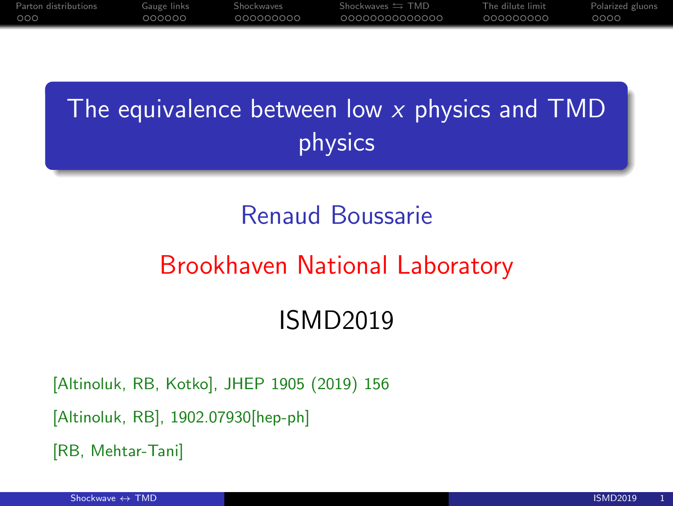# The equivalence between low  $x$  physics and TMD physics

## Renaud Boussarie

## Brookhaven National Laboratory

## ISMD2019

[Altinoluk, RB, Kotko], JHEP 1905 (2019) 156

[Altinoluk, RB], 1902.07930[hep-ph]

[RB, Mehtar-Tani]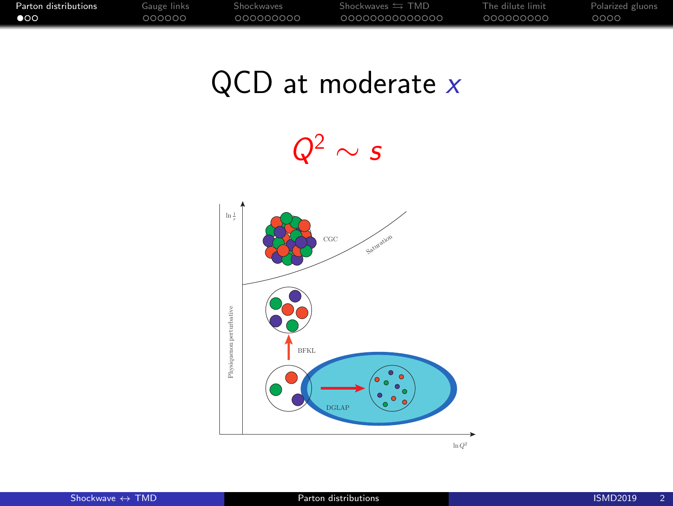<span id="page-1-0"></span>[Parton distributions](#page-1-0) [Gauge links](#page-4-0) [Shockwaves](#page-19-0) Shockwaves Shockwaves TMD [The dilute limit](#page-33-0) [Polarized gluons](#page-42-0)

# $QCD$  at moderate  $x$

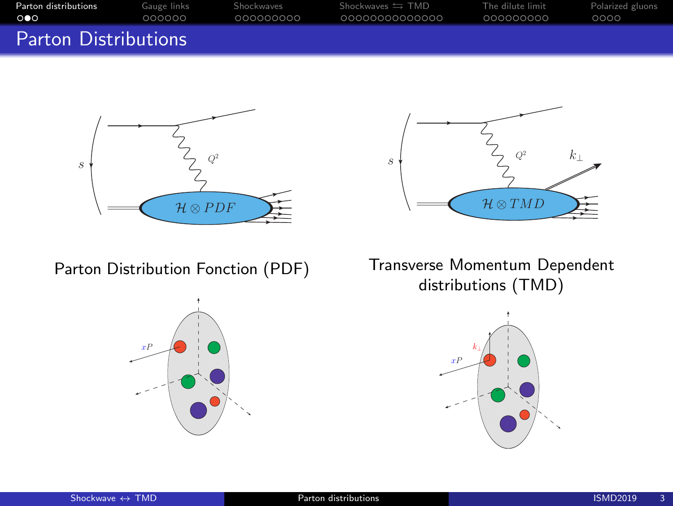| Parton distributions        | Gauge links | Shockwaves | $Shockwaves \leftrightarrows TMD$ | The dilute limit | Polarized gluons |
|-----------------------------|-------------|------------|-----------------------------------|------------------|------------------|
| . 000.                      | 000000      | 000000000  | 00000000000000                    | 000000000        | 0000             |
| <b>Parton Distributions</b> |             |            |                                   |                  |                  |





Parton Distribution Fonction (PDF)



Transverse Momentum Dependent distributions (TMD)

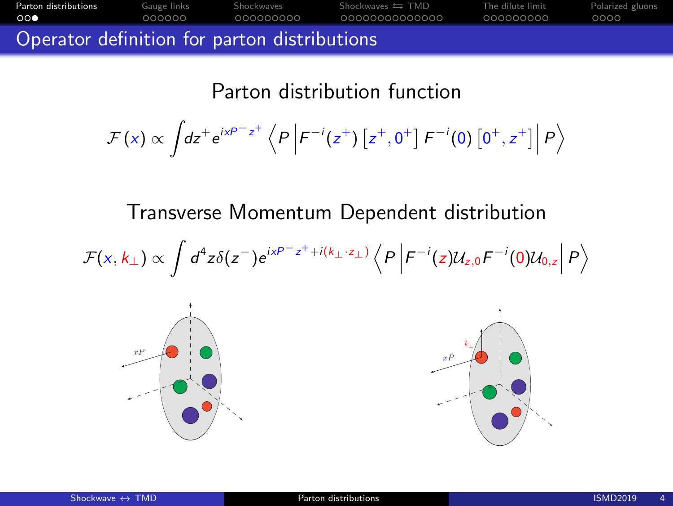[Parton distributions](#page-1-0) [Gauge links](#page-4-0) [Shockwaves](#page-19-0) Shockwaves Shockwaves TMD [The dilute limit](#page-33-0) [Polarized gluons](#page-42-0) Operator definition for parton distributions

Parton distribution function

$$
\mathcal{F}(x) \propto \int dz^+ e^{ixP-z^+} \left\langle P \left| F^{-i}(z^+) \left[ z^+, 0^+ \right] F^{-i}(0) \left[ 0^+, z^+ \right] \right| P \right\rangle
$$

Transverse Momentum Dependent distribution

$$
\mathcal{F}(x,k_{\perp}) \propto \int d^4z \delta(z^-) e^{ixP-z^+ + i(k_{\perp} \cdot z_{\perp})} \left\langle P \left| F^{-i}(z) \mathcal{U}_{z,0} F^{-i}(0) \mathcal{U}_{0,z} \right| P \right\rangle
$$



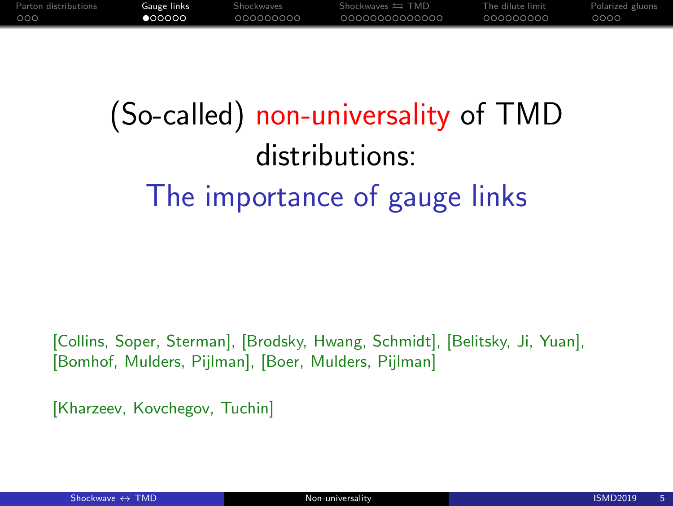# <span id="page-4-0"></span>(So-called) non-universality of TMD distributions: The importance of gauge links

[Collins, Soper, Sterman], [Brodsky, Hwang, Schmidt], [Belitsky, Ji, Yuan], [Bomhof, Mulders, Pijlman], [Boer, Mulders, Pijlman]

[Kharzeev, Kovchegov, Tuchin]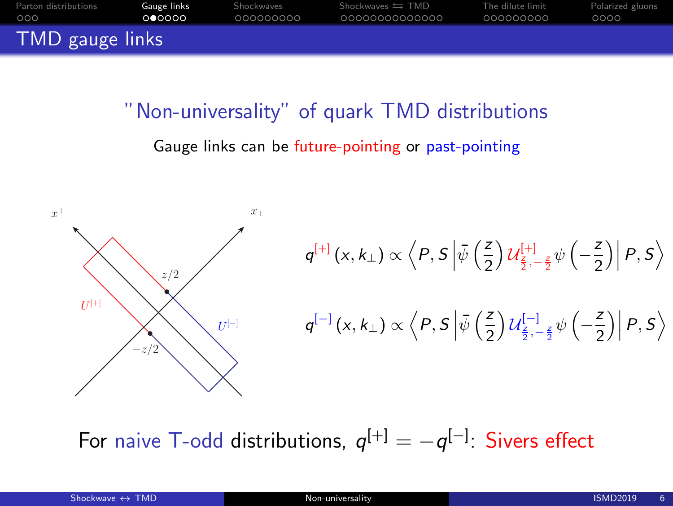| Parton distributions | Gauge links | Shockwaves | Shockwaves $\leftrightarrows$ TMD | The dilute limit | Polarized gluons |
|----------------------|-------------|------------|-----------------------------------|------------------|------------------|
| 000                  | 0 00000     | 000000000  | 00000000000000                    | 000000000        | 0000             |
| TMD gauge links      |             |            |                                   |                  |                  |

"Non-universality" of quark TMD distributions Gauge links can be future-pointing or past-pointing



For naive T-odd distributions,  $q^{[+]}= -q^{[-]}$ : Sivers effect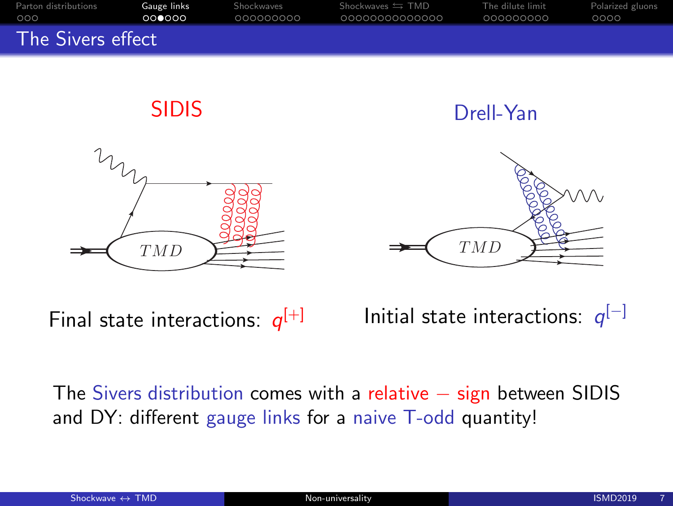



Final state interactions:  $q^{[+]}$ Initial state interactions:  $q^{[-]}$ 

The Sivers distribution comes with a relative – sign between SIDIS and DY: different gauge links for a naive T-odd quantity!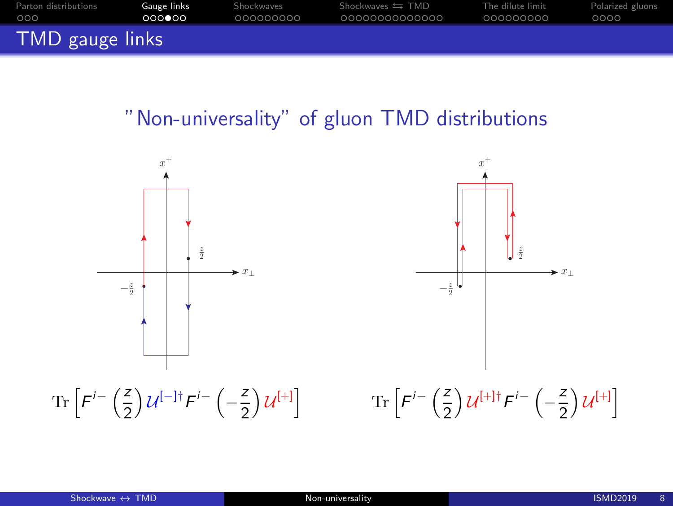| Parton distributions | Gauge links | Shockwaves | Shockwaves $\leftrightarrows$ TMD | The dilute limit | Polarized gluons |
|----------------------|-------------|------------|-----------------------------------|------------------|------------------|
| 000                  | 000000      | 000000000  | 00000000000000                    | 000000000        | 0000             |
| TMD gauge links      |             |            |                                   |                  |                  |

#### "Non-universality" of gluon TMD distributions

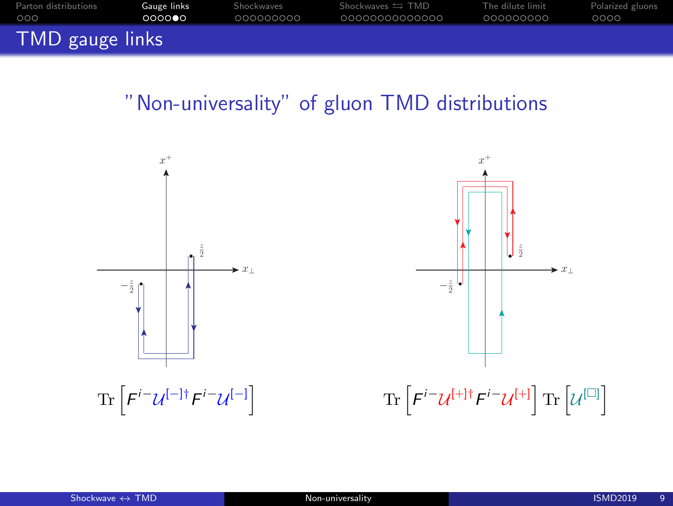| Parton distributions | Gauge links | Shockwaves | Shockwaves $\leftrightarrows$ TMD | The dilute limit | Polarized gluons |
|----------------------|-------------|------------|-----------------------------------|------------------|------------------|
| 000                  | 000000      | 000000000  | 00000000000000                    | 000000000        | 0000             |
| TMD gauge links      |             |            |                                   |                  |                  |

#### "Non-universality" of gluon TMD distributions



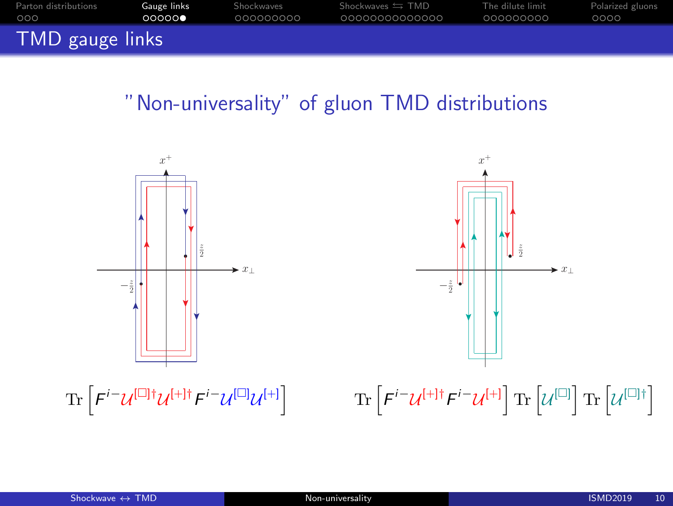| Parton distributions | Gauge links | Shockwaves | Shockwaves $\leftrightarrows$ TMD | The dilute limit | Polarized gluons |
|----------------------|-------------|------------|-----------------------------------|------------------|------------------|
| 000                  | 00000       | 000000000  | 00000000000000                    | 000000000        | 0000             |
| TMD gauge links      |             |            |                                   |                  |                  |

#### "Non-universality" of gluon TMD distributions

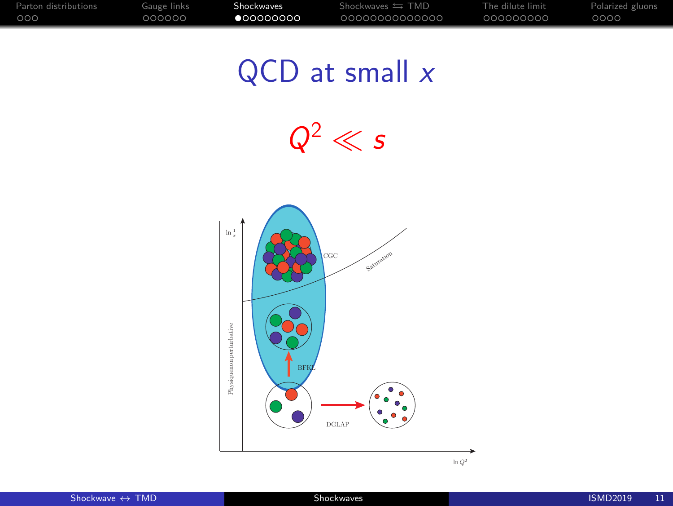# <span id="page-10-0"></span> $QCD$  at small  $x$

 $Q^2 \ll s$ 

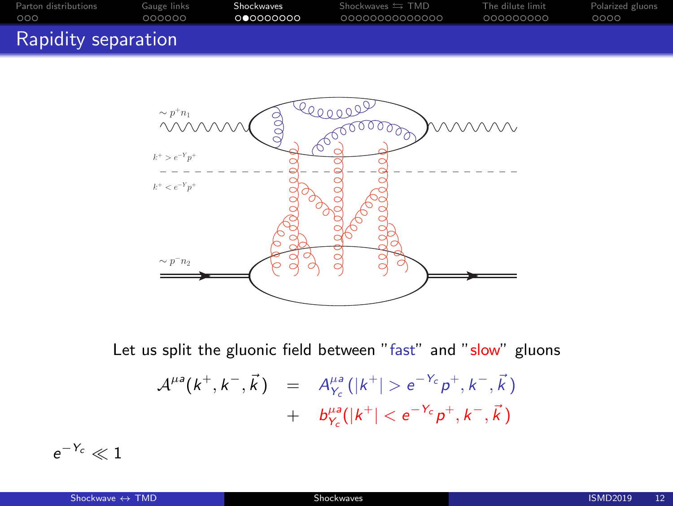| Parton distributions | Gauge links | Shockwaves | Shockwaves $\leftrightarrows$ TMD | The dilute limit | Polarized gluons |
|----------------------|-------------|------------|-----------------------------------|------------------|------------------|
| 000                  | 000000      | 000000000  | 0000000000000                     | 000000000        | 0000             |
| Rapidity separation  |             |            |                                   |                  |                  |



Let us split the gluonic field between "fast" and "slow" gluons

$$
A^{\mu a}(k^+,k^-,\vec{k}) = A^{\mu a}_{Y_c}(|k^+| > e^{-Y_c}p^+,k^-,\vec{k}) + b^{\mu a}_{Y_c}(|k^+| < e^{-Y_c}p^+,k^-,\vec{k})
$$

 $e^{-\,Y_c}\ll 1$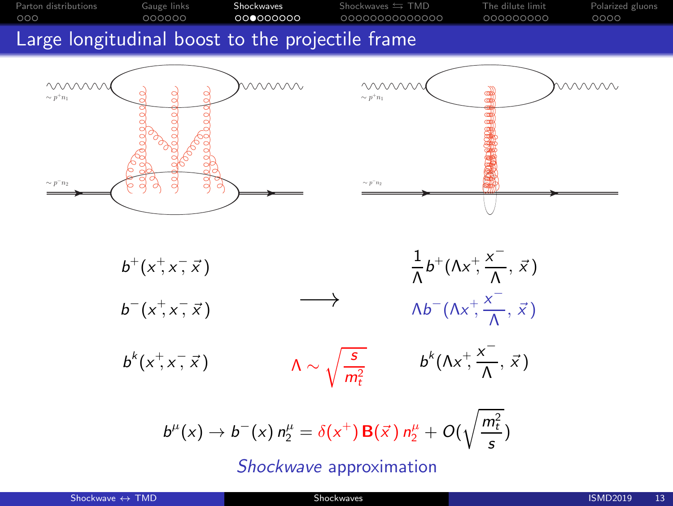| Parton distributions | Gauge links | Shockwaves        | Shockwaves $\leftrightarrows$ TMD | The dilute limit | Polarized gluons |
|----------------------|-------------|-------------------|-----------------------------------|------------------|------------------|
| 000                  | 000000      | _ററ <b>ൈ</b> ററററ | 0000000000000                     | -000000000       | 0000             |
|                      |             |                   |                                   |                  |                  |

#### Large longitudinal boost to the projectile frame





 $b^+(x^+,x^-,\vec{x})$ 1  $\frac{1}{\Lambda}b^+(\Lambda x^+,\frac{x^-}{\Lambda})$  $\frac{1}{\Lambda}$ ,  $\vec{x}$ )  $b^{-}(x^{+},x^{-})$  $\overrightarrow{x}$  )  $\longrightarrow$   $\wedge b$  $-(\Lambda x^+,\frac{x^-}{4})$  $\frac{1}{\Lambda}$ ,  $\vec{x}$ )

 $b^{k}(x^{+},x^{-})$  $\overline{z}$ ,  $\overline{x}$ )  $\Lambda \sim \sqrt{\frac{s}{m}}$  $m_t^2$  $b^{k}(\Lambda x^{\dagger}, \frac{x^{-}}{\Lambda})$  $\frac{1}{\Lambda}$ ,  $\vec{x}$ )

 $b^{\mu}(x) \to b^{-}(x) n_{2}^{\mu} = \delta(x^{+}) \, {\bf B}(\vec{x} \,) \, n_{2}^{\mu} + O(\sqrt{\frac{m_{t}^{2}}{s}})$ Shockwave approximation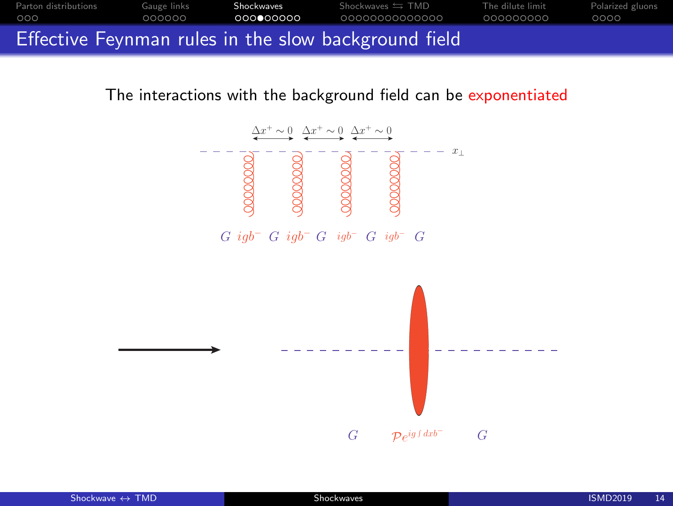

The interactions with the background field can be exponentiated

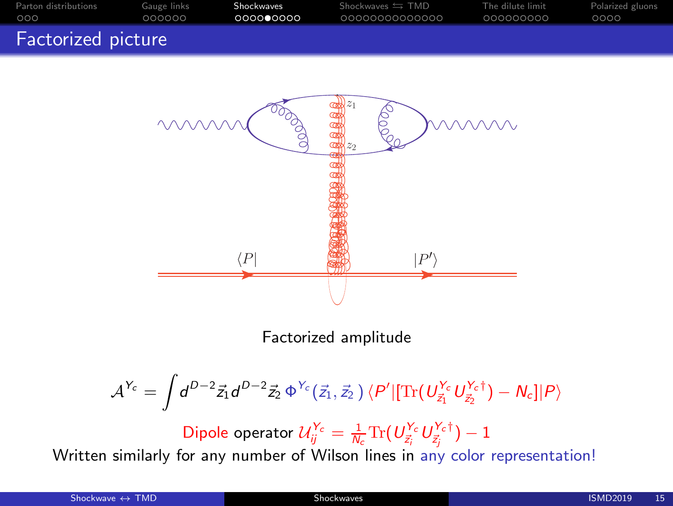| Parton distributions | Gauge links | Shockwaves | Shockwaves $\leftrightarrows$ TMD | The dilute limit | Polarized gluons |
|----------------------|-------------|------------|-----------------------------------|------------------|------------------|
| 000                  | 000000      | 000000000  | 00000000000000                    | 000000000        | 0000             |
| Factorized picture   |             |            |                                   |                  |                  |



Factorized amplitude

$$
\mathcal{A}^{Y_c}=\int d^{D-2}\vec{z}_1 d^{D-2}\vec{z}_2\,\Phi^{Y_c}(\vec{z}_1,\vec{z}_2\,)\,\langle P'|[\mathrm{Tr}\big(U_{\vec{z}_1}^{Y_c}U_{\vec{z}_2}^{Y_c\dagger}\big)-N_c]|P\rangle
$$

Dipole operator  $\mathcal{U}_{ij}^{Y_c}=\frac{1}{N_c}\text{Tr}(U_{\vec{z}_i}^{Y_c}U_{\vec{z}_j}^{Y_c \dagger})-1$ 

Written similarly for any number of Wilson lines in any color representation!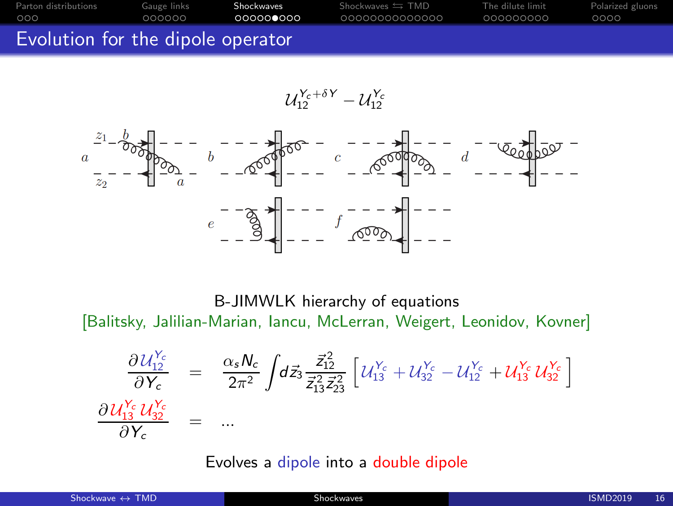| Parton distributions              | Gauge links | Shockwaves | Shockwaves $\leftrightarrows$ TMD | The dilute limit | Polarized gluons |
|-----------------------------------|-------------|------------|-----------------------------------|------------------|------------------|
| 000                               | 000000      | 000000000  | 00000000000000                    | 000000000        | 0000             |
| Evolution for the dipole operator |             |            |                                   |                  |                  |

$$
\mathcal{U}_{12}^{Y_c+\delta Y}-\mathcal{U}_{12}^{Y_c}
$$



B-JIMWLK hierarchy of equations [Balitsky, Jalilian-Marian, Iancu, McLerran, Weigert, Leonidov, Kovner]

$$
\frac{\partial U_{12}^{Y_c}}{\partial Y_c} = \frac{\alpha_s N_c}{2\pi^2} \int d\vec{z}_3 \frac{\vec{z}_{12}^2}{\vec{z}_{13}^2 \vec{z}_{23}^2} \left[ U_{13}^{Y_c} + U_{32}^{Y_c} - U_{12}^{Y_c} + U_{13}^{Y_c} U_{32}^{Y_c} \right]
$$
\n
$$
\frac{\partial U_{13}^{Y_c} U_{32}^{Y_c}}{\partial Y_c} = \dots
$$

Evolves a dipole into a double dipole

| Shockwave $\leftrightarrow$ TMD | Shockwaves | <b>ISMD2019</b><br>16 |
|---------------------------------|------------|-----------------------|
|                                 |            |                       |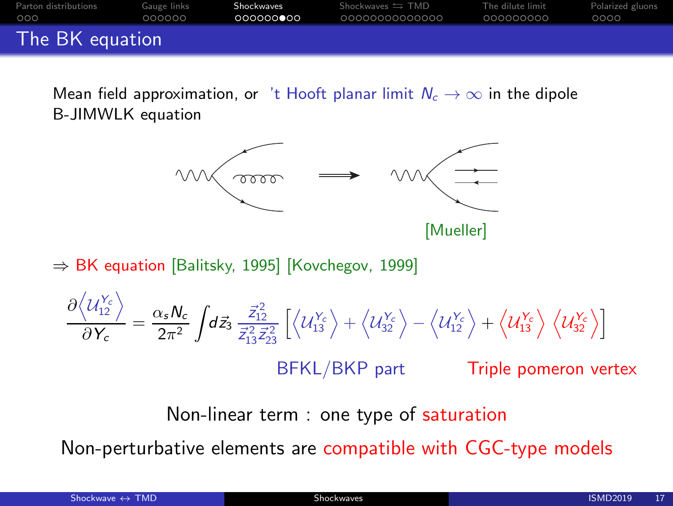| Parton distributions | Gauge links | Shockwaves | Shockwaves $\leftrightarrows$ TMD | The dilute limit | Polarized gluons |
|----------------------|-------------|------------|-----------------------------------|------------------|------------------|
| 000                  | 000000      | 000000000  | 00000000000000                    | 000000000        | 0000             |
| The BK equation      |             |            |                                   |                  |                  |

Mean field approximation, or 't Hooft planar limit  $N_c \rightarrow \infty$  in the dipole B-JIMWLK equation



⇒ BK equation [Balitsky, 1995] [Kovchegov, 1999]

$$
\frac{\partial \langle U_{12}^{\gamma_c} \rangle}{\partial Y_c} = \frac{\alpha_s N_c}{2\pi^2} \int d\vec{z}_3 \frac{\vec{z}_{12}^2}{\vec{z}_{13}^2 \vec{z}_{23}^2} \left[ \langle U_{13}^{\gamma_c} \rangle + \langle U_{32}^{\gamma_c} \rangle - \langle U_{12}^{\gamma_c} \rangle + \langle U_{13}^{\gamma_c} \rangle \langle U_{32}^{\gamma_c} \rangle \right]
$$
\nBFKL/BKP part\nTriple pomeron vertex

Non-linear term : one type of saturation

Non-perturbative elements are compatible with CGC-type models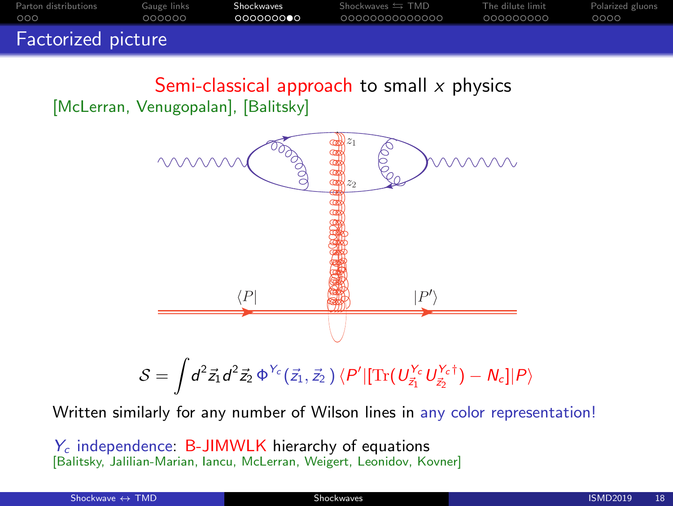| Parton distributions | Gauge links | Shockwaves | Shockwaves $\leftrightarrows$ TMD | The dilute limit | Polarized gluons |
|----------------------|-------------|------------|-----------------------------------|------------------|------------------|
| 000                  | 000000      | 000000000  | 00000000000000                    | 000000000        | 0000             |
| Factorized picture   |             |            |                                   |                  |                  |

Semi-classical approach to small  $x$  physics [McLerran, Venugopalan], [Balitsky]



Written similarly for any number of Wilson lines in any color representation!

 $Y_c$  independence: B-JIMWLK hierarchy of equations [Balitsky, Jalilian-Marian, Iancu, McLerran, Weigert, Leonidov, Kovner]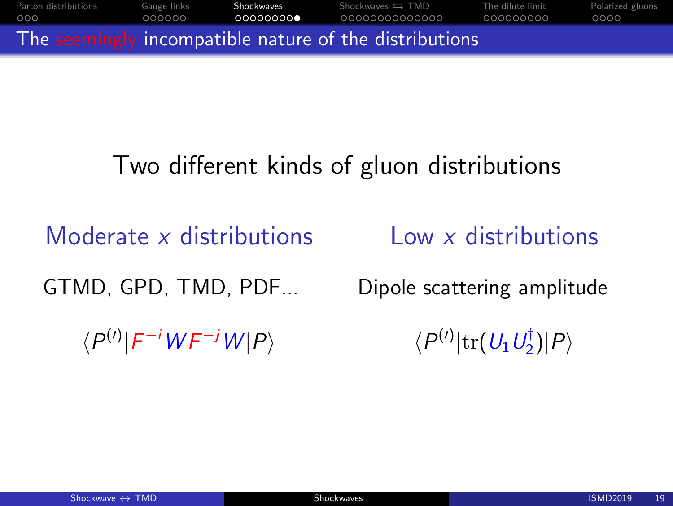$\mathsf{Part}$ on distributions [Gauge links](#page-4-0) **[Shockwaves](#page-19-0)** Shockwaves  $\leftrightarrows \mathsf{TMD}$  [The dilute limit](#page-33-0) [Polarized gluons](#page-42-0) The seemingly incompatible nature of the distributions

# Two different kinds of gluon distributions

Moderate x distributions

Low x distributions

GTMD, GPD, TMD, PDF...

Dipole scattering amplitude

 $\langle P^{(\prime)}|F^{-i}WF^{-j}W|P\rangle$ 

 $\langle P^{(\prime)} | {\rm tr} (\,U_1 \,U_2^\dagger$  $\binom{1}{2}$  $|P\rangle$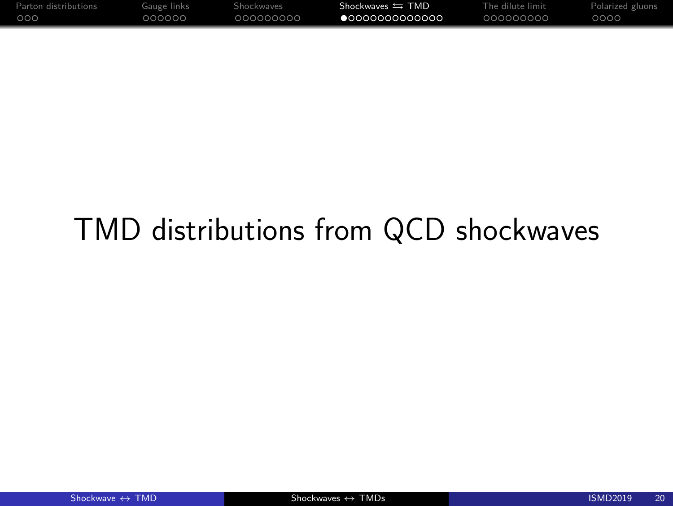<span id="page-19-0"></span>

| Parton distributions | Gauge links | Shockwaves | Shockwaves $\leftrightarrows$ TMD | The dilute limit | Polarized gluons |
|----------------------|-------------|------------|-----------------------------------|------------------|------------------|
| 000                  | റററററ       | aaaaaaaaa  | $\bullet$ 0000000000000           | LOOOOOOOOO       | 0000             |

# TMD distributions from QCD shockwaves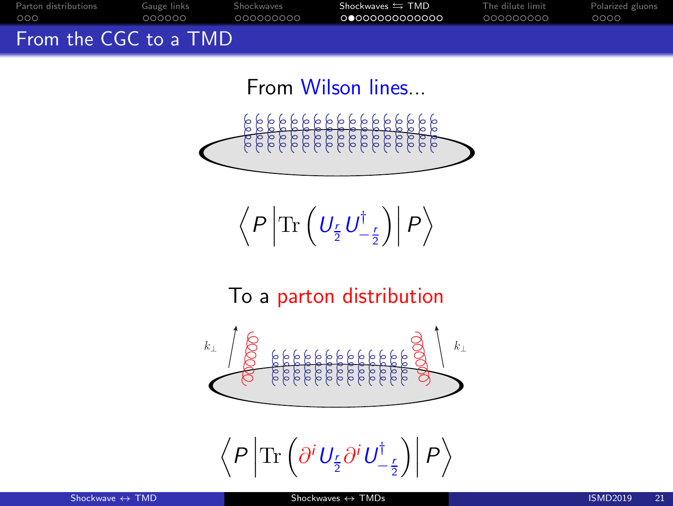[Parton distributions](#page-1-0) [Gauge links](#page-4-0) [Shockwaves](#page-19-0) Shockwaves SHOD [The dilute limit](#page-33-0) [Polarized gluons](#page-42-0) From the CGC to a TMD

From Wilson lines...



$$
\left\langle P\left|\text{Tr}\left(U_{\frac{r}{2}}U_{-\frac{r}{2}}^{\dagger}\right)\right|P\right\rangle
$$

To a parton distribution



 $\big\langle P\,\Big|\,$  $\text{Tr} \left( \partial^i \, U_{\frac{r}{2}} \partial^i \, U_{-\frac{r}{2}}^\dagger \right.$  $\Big) \Big|$  $\ket{P}$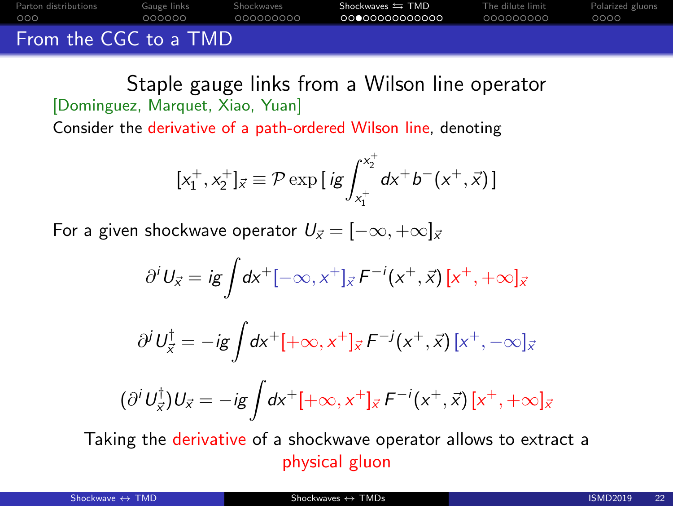From the CGC to a TMD

Staple gauge links from a Wilson line operator [Dominguez, Marquet, Xiao, Yuan]

Consider the derivative of a path-ordered Wilson line, denoting

$$
[x_1^+, x_2^+]_{\vec{x}} \equiv \mathcal{P} \exp\left[i g \int_{x_1^+}^{x_2^+} dx^+ b^-(x^+, \vec{x})\right]
$$

[Parton distributions](#page-1-0) [Gauge links](#page-4-0) [Shockwaves](#page-19-0) Shockwaves SHOD [The dilute limit](#page-33-0) [Polarized gluons](#page-42-0)

For a given shockwave operator  $U_{\vec{x}} = [-\infty, +\infty]_{\vec{x}}$ 

$$
\partial^i U_{\vec{x}} = i g \int dx^+ [-\infty, x^+]_{\vec{x}} F^{-i}(x^+, \vec{x}) [x^+, +\infty]_{\vec{x}}
$$

$$
\partial^j U_{\vec{x}}^{\dagger} = -ig \int dx^+ [+\infty, x^+]_{\vec{x}} F^{-j} (x^+, \vec{x}) [x^+, -\infty]_{\vec{x}}
$$

$$
(\partial^i U_{\vec{x}}^{\dagger}) U_{\vec{x}} = -ig \int dx^+ [+\infty, x^+]_{\vec{x}} F^{-i}(x^+, \vec{x}) [x^+, +\infty]_{\vec{x}}
$$

Taking the derivative of a shockwave operator allows to extract a physical gluon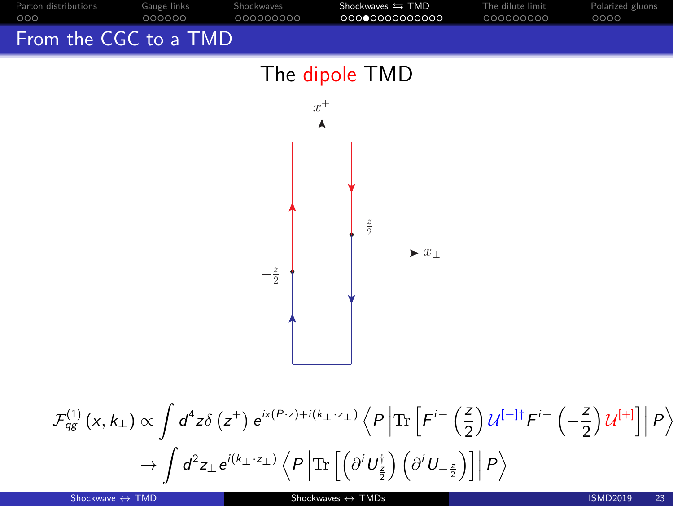

$$
\mathcal{F}_{qg}^{(1)}(x,k_{\perp}) \propto \int d^{4}z \delta(z^{+}) e^{ix(P\cdot z)+i(k_{\perp}\cdot z_{\perp})} \left\langle P\left|\text{Tr}\left[F^{i-}\left(\frac{z}{2}\right) \mathcal{U}^{[-]\dagger} F^{i-}\left(-\frac{z}{2}\right) \mathcal{U}^{[+]}\right]\right| P\right\rangle
$$

$$
\rightarrow \int d^{2}z_{\perp} e^{i(k_{\perp}\cdot z_{\perp})} \left\langle P\left|\text{Tr}\left[\left(\partial^{i} U_{\frac{z}{2}}^{+}\right) \left(\partial^{i} U_{-\frac{z}{2}}^{-}\right)\right]\right| P\right\rangle
$$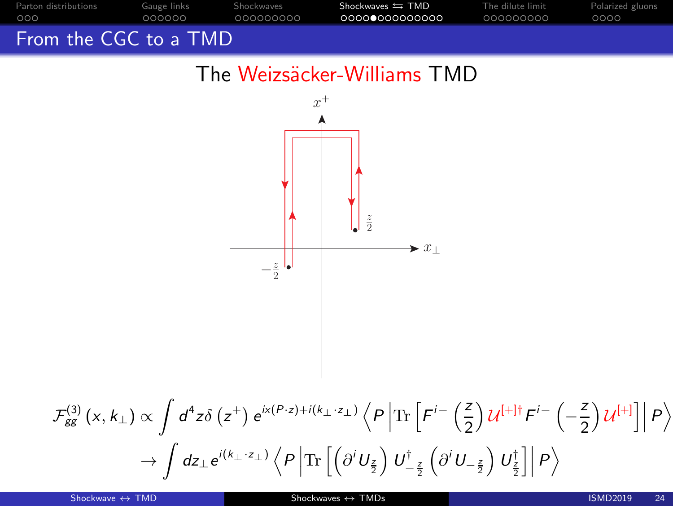

#### The Weizsäcker-Williams TMD

$$
\begin{array}{c}\n\begin{array}{c}\n\overbrace{\phantom{a}}^{x^{+}} \\
\hline\n-\frac{z}{2} \\
\end{array}\n\end{array}
$$
\n
$$
\begin{array}{c}\n\overbrace{\phantom{a}}^{x^{+}} \\
\hline\n\phantom{a}^{x^{+}} \\
\end{array}
$$
\n
$$
\begin{array}{c}\n\overbrace{\phantom{a}}^{x^{+}} \\
\hline\n\phantom{a}^{x^{+}} \\
\end{array}
$$
\n
$$
\begin{array}{c}\n\overbrace{\phantom{a}}^{x^{+}} \\
\hline\n\phantom{a}^{x^{+}} \\
\end{array}
$$
\n
$$
\begin{array}{c}\n\overbrace{\phantom{a}}^{x^{+}} \\
\hline\n\phantom{a}^{x^{+}} \\
\end{array}
$$
\n
$$
\begin{array}{c}\n\overbrace{\phantom{a}}^{x^{+}} \\
\hline\n\phantom{a}^{x^{+}} \\
\end{array}
$$
\n
$$
\begin{array}{c}\n\overbrace{\phantom{a}}^{x^{+}} \\
\hline\n\phantom{a}^{x^{+}} \\
\end{array}
$$
\n
$$
\begin{array}{c}\n\overbrace{\phantom{a}}^{x^{+}} \\
\hline\n\phantom{a}^{x^{+}} \\
\end{array}
$$
\n
$$
\begin{array}{c}\n\overbrace{\phantom{a}}^{x^{+}} \\
\hline\n\phantom{a}^{x^{+}} \\
\end{array}
$$
\n
$$
\begin{array}{c}\n\overbrace{\phantom{a}}^{x^{+}} \\
\hline\n\phantom{a}^{x^{+}} \\
\end{array}
$$
\n
$$
\begin{array}{c}\n\overbrace{\phantom{a}}^{x^{+}} \\
\hline\n\phantom{a}^{x^{+}} \\
\hline\n\phantom{a}^{x^{+}} \\
\end{array}
$$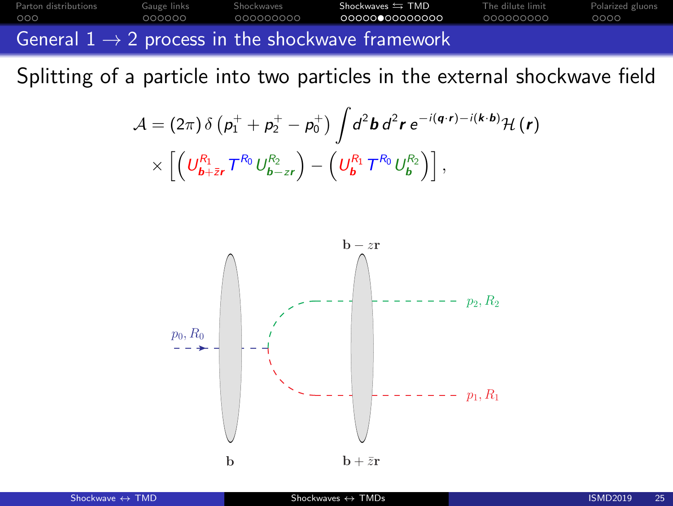[Parton distributions](#page-1-0) [Gauge links](#page-4-0) [Shockwaves](#page-19-0) Shockwaves SHOD [The dilute limit](#page-33-0) [Polarized gluons](#page-42-0) General  $1 \rightarrow 2$  process in the shockwave framework

Splitting of a particle into two particles in the external shockwave field

$$
\mathcal{A} = (2\pi)\,\delta\left(p_1^+ + p_2^+ - p_0^+\right)\int d^2\mathbf{b}\,d^2\mathbf{r}\,\mathrm{e}^{-i(\mathbf{q}\cdot\mathbf{r})-i(\mathbf{k}\cdot\mathbf{b})}\mathcal{H}\left(\mathbf{r}\right) \times \left[\left(U_{\mathbf{b}+\bar{z}\mathbf{r}}^{R_0}U_{\mathbf{b}-z\mathbf{r}}^{R_2}\right) - \left(U_{\mathbf{b}}^{R_1}\mathcal{T}^{R_0}U_{\mathbf{b}}^{R_2}\right)\right],
$$

![](_page_24_Figure_3.jpeg)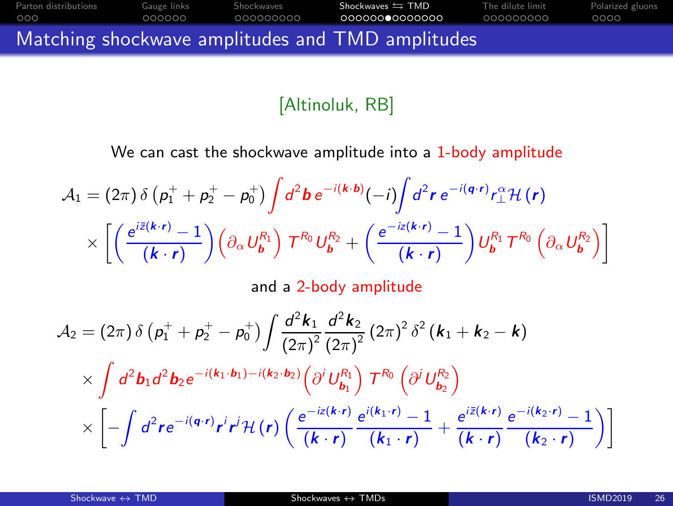![](_page_25_Figure_0.jpeg)

#### [Altinoluk, RB]

We can cast the shockwave amplitude into a 1-body amplitude

$$
\mathcal{A}_1 = (2\pi) \delta \left( \rho_1^+ + \rho_2^+ - \rho_0^+ \right) \int d^2 \mathbf{b} \, e^{-i(\mathbf{k} \cdot \mathbf{b})} (-i) \int d^2 \mathbf{r} \, e^{-i(\mathbf{q} \cdot \mathbf{r})} r_\perp^\alpha \mathcal{H} \left( \mathbf{r} \right) \times \left[ \left( \frac{e^{i\bar{z}(\mathbf{k} \cdot \mathbf{r})} - 1}{(\mathbf{k} \cdot \mathbf{r})} \right) \left( \partial_\alpha U_b^R \right) \mathcal{T}^{R_0} U_b^{R_2} + \left( \frac{e^{-i\bar{z}(\mathbf{k} \cdot \mathbf{r})} - 1}{(\mathbf{k} \cdot \mathbf{r})} \right) U_b^{R_1} \mathcal{T}^{R_0} \left( \partial_\alpha U_b^{R_2} \right) \right]
$$

and a 2-body amplitude

$$
\mathcal{A}_{2} = (2\pi) \delta \left( p_{1}^{+} + p_{2}^{+} - p_{0}^{+} \right) \int \frac{d^{2}k_{1}}{(2\pi)^{2}} \frac{d^{2}k_{2}}{(2\pi)^{2}} (2\pi)^{2} \delta^{2} \left( k_{1} + k_{2} - k \right) \times \int d^{2}b_{1}d^{2}b_{2} e^{-i(k_{1} \cdot b_{1}) - i(k_{2} \cdot b_{2})} \left( \partial^{i} U_{b_{1}}^{R_{1}} \right) T^{R_{0}} \left( \partial^{j} U_{b_{2}}^{R_{2}} \right) \times \left[ - \int d^{2}r e^{-i(q \cdot r)} r^{i} r^{j} \mathcal{H} \left( r \right) \left( \frac{e^{-iz(k \cdot r)}}{(k \cdot r)} \frac{e^{i(k_{1} \cdot r)} - 1}{(k_{1} \cdot r)} + \frac{e^{i\bar{z}(k \cdot r)}}{(k \cdot r)} \frac{e^{-i(k_{2} \cdot r)} - 1}{(k_{2} \cdot r)} \right) \right]
$$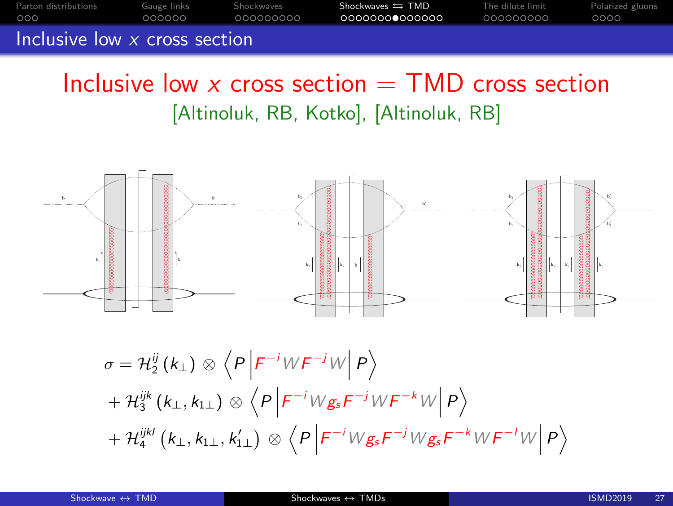[Parton distributions](#page-1-0) [Gauge links](#page-4-0) [Shockwaves](#page-19-0) Shockwaves SHOD [The dilute limit](#page-33-0) [Polarized gluons](#page-42-0) Inclusive low x cross section

## Inclusive low x cross section  $=$  TMD cross section [Altinoluk, RB, Kotko], [Altinoluk, RB]

![](_page_26_Figure_2.jpeg)

$$
\sigma = \mathcal{H}_{2}^{ij} (k_{\perp}) \otimes \left\langle P \left| F^{-i} W F^{-j} W \right| P \right\rangle
$$
  
+ 
$$
\mathcal{H}_{3}^{ijk} (k_{\perp}, k_{1\perp}) \otimes \left\langle P \left| F^{-i} W g_{s} F^{-j} W F^{-k} W \right| P \right\rangle
$$
  
+ 
$$
\mathcal{H}_{4}^{ijkl} (k_{\perp}, k_{1\perp}, k_{1\perp}') \otimes \left\langle P \left| F^{-i} W g_{s} F^{-j} W g_{s} F^{-k} W F^{-l} W \right| P \right\rangle
$$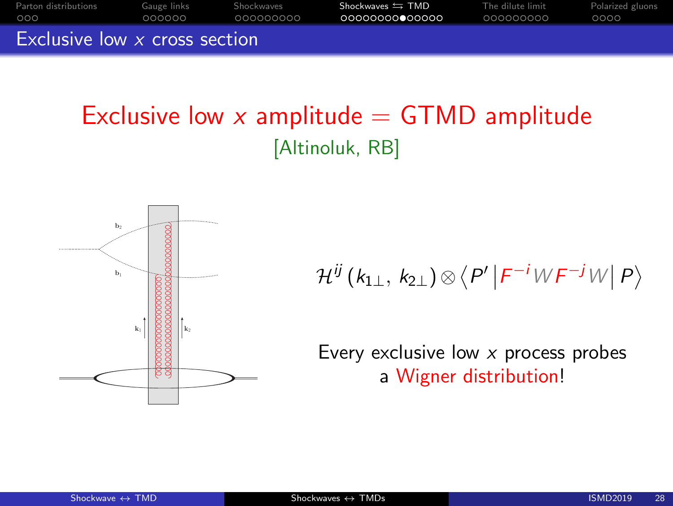![](_page_27_Figure_0.jpeg)

## Exclusive low x amplitude  $=$  GTMD amplitude [Altinoluk, RB]

![](_page_27_Figure_2.jpeg)

$$
\mathcal{H}^{ij}(k_{1\perp}, k_{2\perp}) \otimes \langle P' | F^{-i}WF^{-j}W | P \rangle
$$

Every exclusive low  $x$  process probes a Wigner distribution!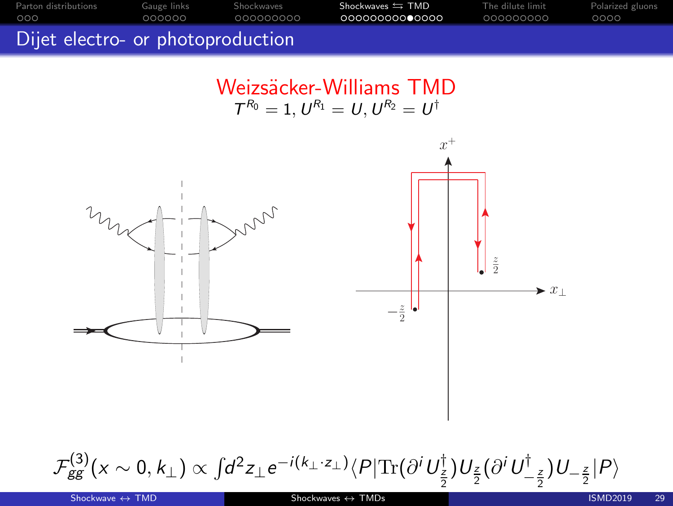[Parton distributions](#page-1-0) [Gauge links](#page-4-0) [Shockwaves](#page-19-0) Shockwaves SHOD [The dilute limit](#page-33-0) [Polarized gluons](#page-42-0)

Dijet electro- or photoproduction

Weizsäcker-Williams TMD  $T^{R_0} = 1, U^{R_1} = U, U^{R_2} = U^{\dagger}$ 

![](_page_28_Figure_3.jpeg)

$$
\mathcal{F}_{gg}^{(3)}(x \sim 0, k_{\perp}) \propto \int d^2 z_{\perp} e^{-i(k_{\perp} \cdot z_{\perp})} \langle P | \text{Tr}(\partial^i U^{\dagger}_{\frac{z}{2}}) U_{\frac{z}{2}} (\partial^i U^{\dagger}_{-\frac{z}{2}}) U_{-\frac{z}{2}} | P \rangle
$$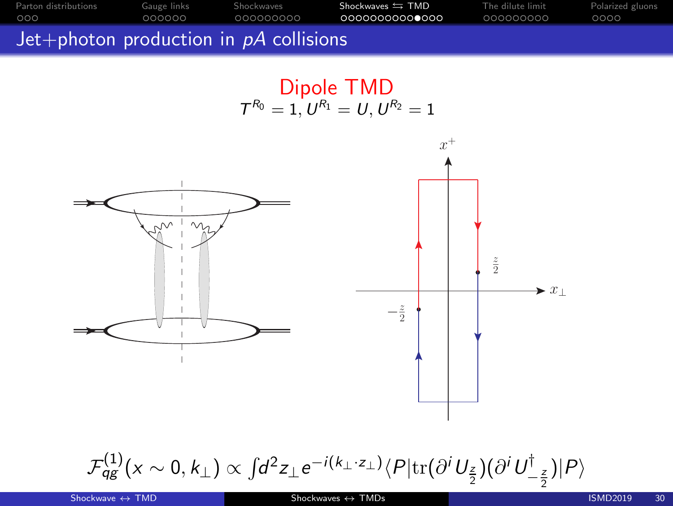![](_page_29_Figure_0.jpeg)

Dipole TMD  $T^{R_0} = 1, U^{R_1} = U, U^{R_2} = 1$ 

![](_page_29_Figure_3.jpeg)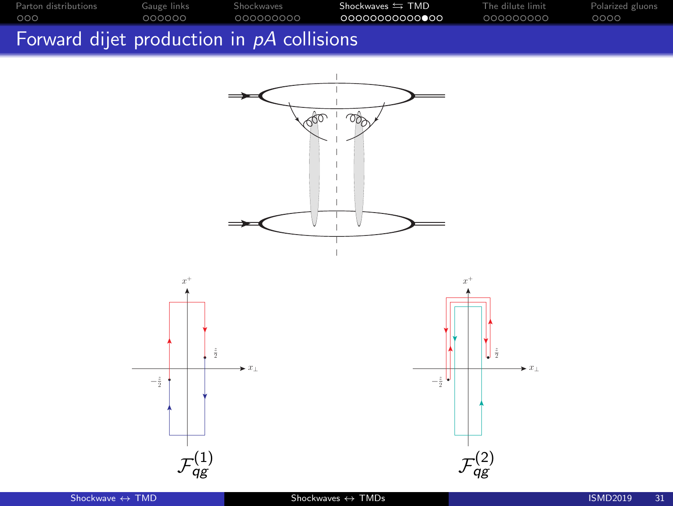![](_page_30_Figure_0.jpeg)

#### Forward dijet production in pA collisions

![](_page_30_Figure_2.jpeg)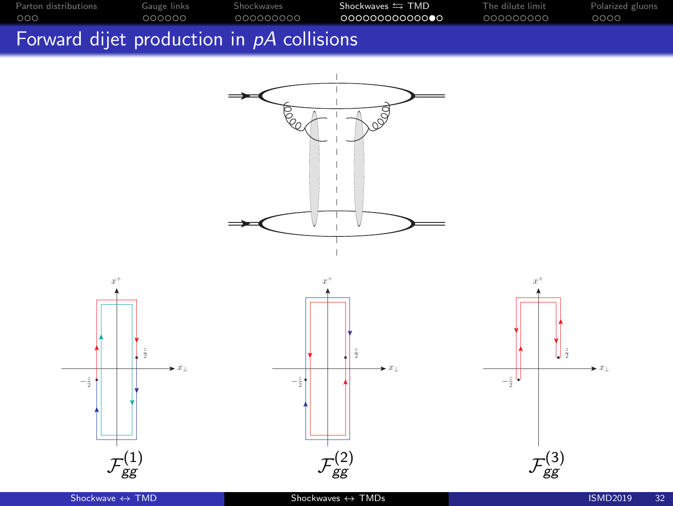![](_page_31_Figure_0.jpeg)

![](_page_31_Figure_1.jpeg)

![](_page_31_Figure_2.jpeg)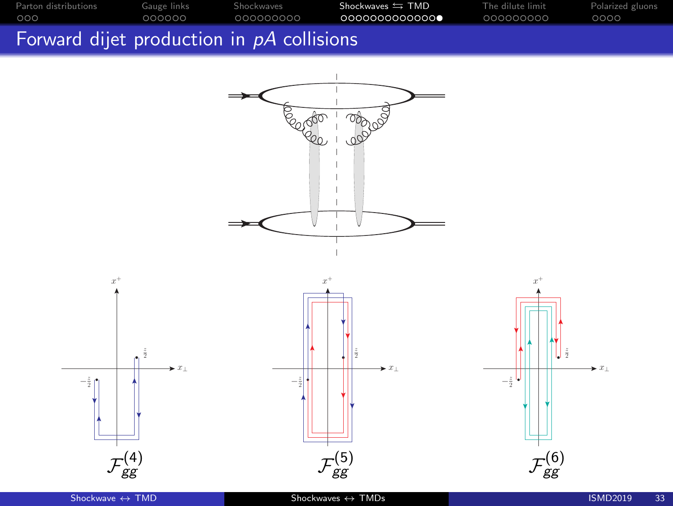![](_page_32_Figure_0.jpeg)

![](_page_32_Figure_1.jpeg)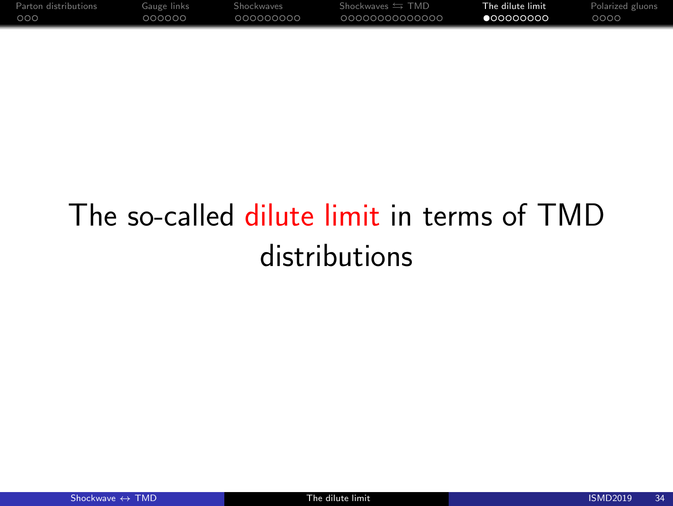<span id="page-33-0"></span>

| Parton distributions | Gauge links | Shockwaves | $Shockwaves \equiv TMD$ | The dilute limit | Polarized gluons |
|----------------------|-------------|------------|-------------------------|------------------|------------------|
| 000                  | റററററ       | 000000000  | 0000000000000           | ●○○○○○○○         | 0000             |

# The so-called dilute limit in terms of TMD distributions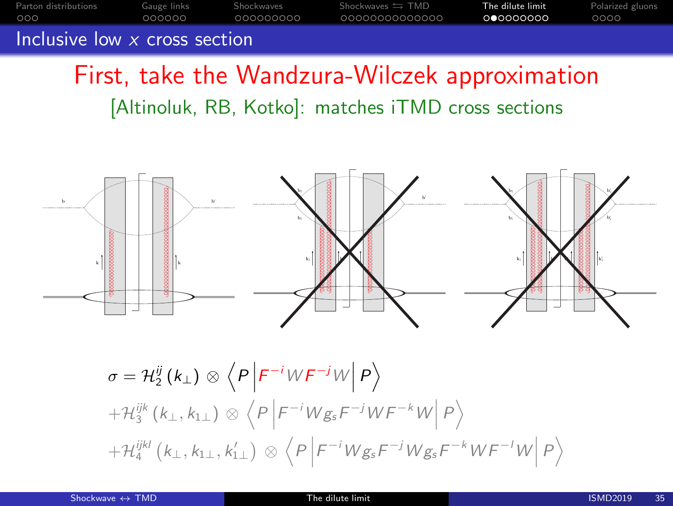[Parton distributions](#page-1-0) [Gauge links](#page-4-0) [Shockwaves](#page-19-0) Shockwaves Shockwaves TMD **[The dilute limit](#page-33-0)** [Polarized gluons](#page-42-0) Inclusive low x cross section

First, take the Wandzura-Wilczek approximation [Altinoluk, RB, Kotko]: matches iTMD cross sections

![](_page_34_Figure_2.jpeg)

$$
\sigma = \mathcal{H}_{2}^{ij} (k_{\perp}) \otimes \left\langle P \left| F^{-i} W F^{-j} W \right| P \right\rangle
$$
  
+
$$
\mathcal{H}_{3}^{ijk} (k_{\perp}, k_{1\perp}) \otimes \left\langle P \left| F^{-i} W g_{s} F^{-j} W F^{-k} W \right| P \right\rangle
$$
  
+
$$
\mathcal{H}_{4}^{ijkl} (k_{\perp}, k_{1\perp}, k_{1\perp}') \otimes \left\langle P \left| F^{-i} W g_{s} F^{-j} W g_{s} F^{-k} W F^{-l} W \right| P \right\rangle
$$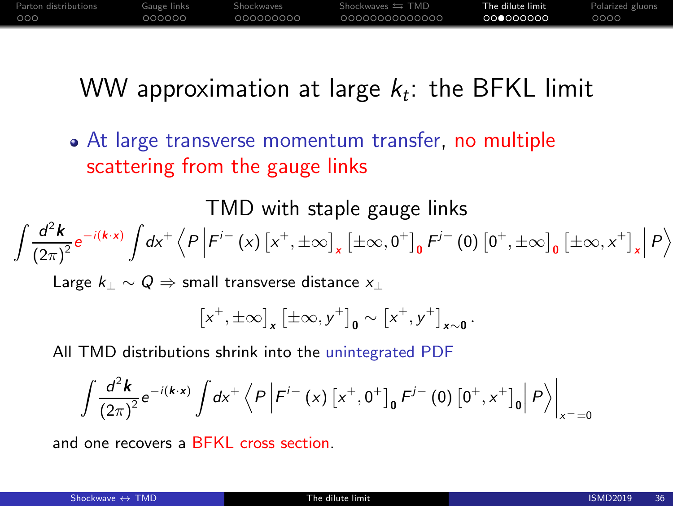| Parton distributions | Gauge links | Shockwaves | Shockwaves $\leftrightarrows$ TMD | The dilute limit | Polarized gluons |
|----------------------|-------------|------------|-----------------------------------|------------------|------------------|
| .000                 | nnnnn       | 000000000  | 0000000000000                     | .000000000       | 0000             |

## WW approximation at large  $k_t$ : the BFKL limit

At large transverse momentum transfer, no multiple scattering from the gauge links

TMD with staple gauge links  $\int d^2k$  $\frac{d^2 \mathbf{k}}{(2\pi)^2} e^{-i(\mathbf{k} \cdot \mathbf{x})} \int d\mathbf{x}^+ \left\langle P \left| F^{i-} \left( \mathbf{x} \right) \left[ \mathbf{x}^+, \pm \infty \right]_{\mathbf{x}} \left[ \pm \infty, 0^+ \right]_{0} F^{j-} \left( 0 \right) \left[ 0^+, \pm \infty \right]_{0} \left[ \pm \infty, \mathbf{x}^+ \right]_{\mathbf{x}} \right| P \right\rangle$ 

Large  $k_+ \sim Q \Rightarrow$  small transverse distance  $x_+$ 

$$
\left[x^+,\pm\infty\right]_x\left[\pm\infty,y^+\right]_0\sim\left[x^+,y^+\right]_{x\sim0}.
$$

All TMD distributions shrink into the unintegrated PDF

$$
\int \frac{d^2 \mathbf{k}}{(2\pi)^2} e^{-i(\mathbf{k} \cdot \mathbf{x})} \int d\mathbf{x}^+ \left\langle P \left| F^{i-} \left( \mathbf{x} \right) \left[ \mathbf{x}^+, 0^+ \right]_0 F^{j-} \left( 0 \right) \left[ 0^+, \mathbf{x}^+ \right]_0 \right| P \right\rangle \Big|_{\mathbf{x}^- = 0}
$$

and one recovers a BFKL cross section.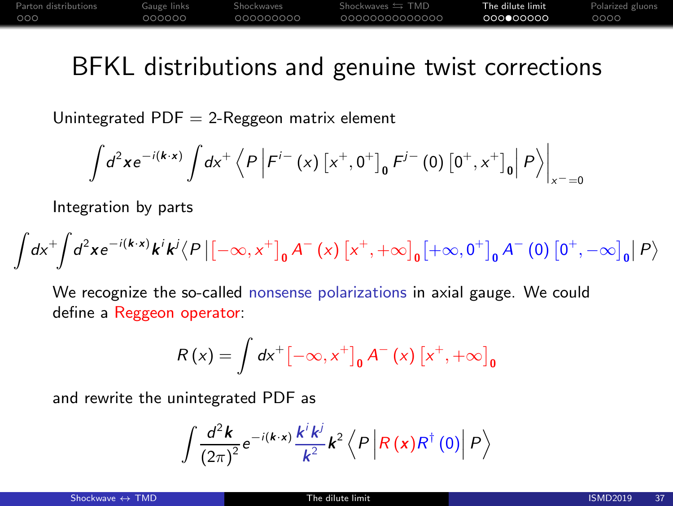[Parton distributions](#page-1-0) [Gauge links](#page-4-0) [Shockwaves](#page-19-0) Shockwaves Shockwaves TMD **[The dilute limit](#page-33-0)** [Polarized gluons](#page-42-0)

## BFKL distributions and genuine twist corrections

Unintegrated  $PDF = 2$ -Reggeon matrix element

$$
\int d^{2}x e^{-i(k \cdot x)} \int dx^{+} \left\langle P \left| F^{i-} \left( x \right) \left[ x^{+}, 0^{+} \right]_{0} F^{j-} \left( 0 \right) \left[ 0^{+}, x^{+} \right]_{0} \right| P \right\rangle \Big|_{x^{-}=0}
$$

Integration by parts

$$
\int dx^{+} \int d^{2}x e^{-i(k \cdot x)} k^{j} k^{j} \langle P | [ - \infty, x^{+} ]_{0} A^{-}(x) [ x^{+}, + \infty ]_{0} [ + \infty, 0^{+} ]_{0} A^{-}(0) [ 0^{+}, - \infty ]_{0} | P \rangle
$$

We recognize the so-called nonsense polarizations in axial gauge. We could define a Reggeon operator:

$$
R(x) = \int dx^{+} \left[ -\infty, x^{+} \right]_{0} A^{-} (x) \left[ x^{+}, +\infty \right]_{0}
$$

and rewrite the unintegrated PDF as

$$
\int \frac{d^2 \mathbf{k}}{(2\pi)^2} e^{-i(\mathbf{k}\cdot\mathbf{x})} \frac{k^i k^j}{k^2} \mathbf{k}^2 \left\langle P \left| R\left(\mathbf{x}\right) R^\dagger\left(0\right) \right| P \right\rangle
$$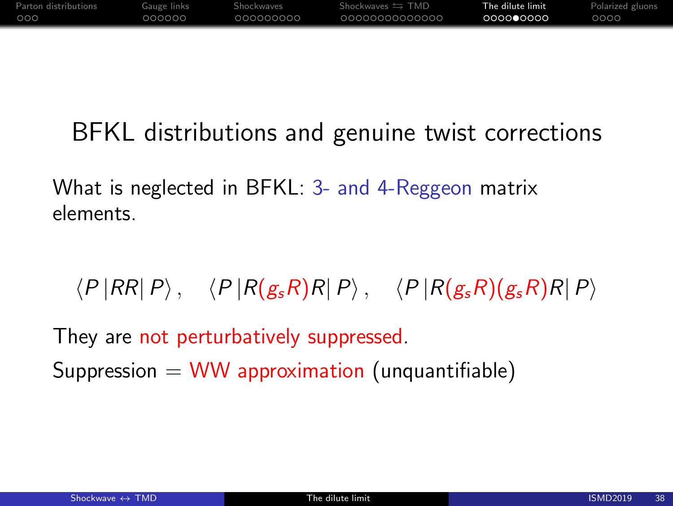| Parton distributions | Gauge links | Shockwaves | Shockwaves $\leftrightarrows$ TMD | The dilute limit | Polarized gluons |
|----------------------|-------------|------------|-----------------------------------|------------------|------------------|
| 000                  | റററററ       | 000000000  | 00000000000000                    | 000000000        | 0000             |

## BFKL distributions and genuine twist corrections

What is neglected in BFKL: 3- and 4-Reggeon matrix elements.

 $\langle P |RR|P \rangle$ ,  $\langle P |R(g_sR)R|P \rangle$ ,  $\langle P |R(g_sR)(g_sR)R|P \rangle$ 

They are not perturbatively suppressed. Suppression  $=$  WW approximation (unquantifiable)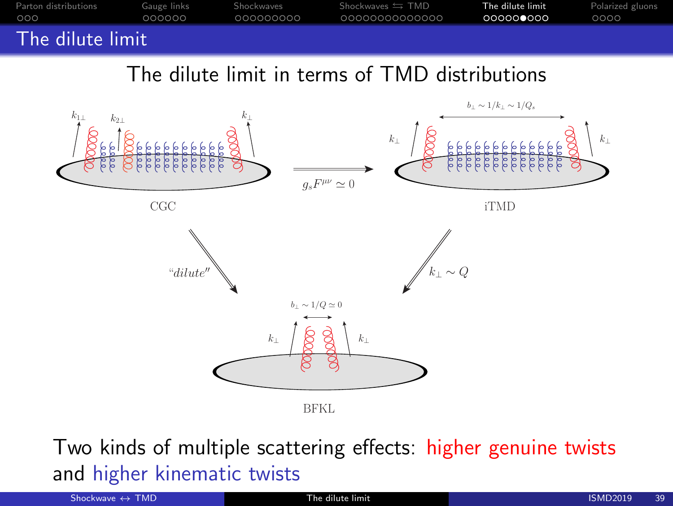![](_page_38_Figure_0.jpeg)

The dilute limit in terms of TMD distributions

![](_page_38_Figure_2.jpeg)

Two kinds of multiple scattering effects: higher genuine twists and higher kinematic twists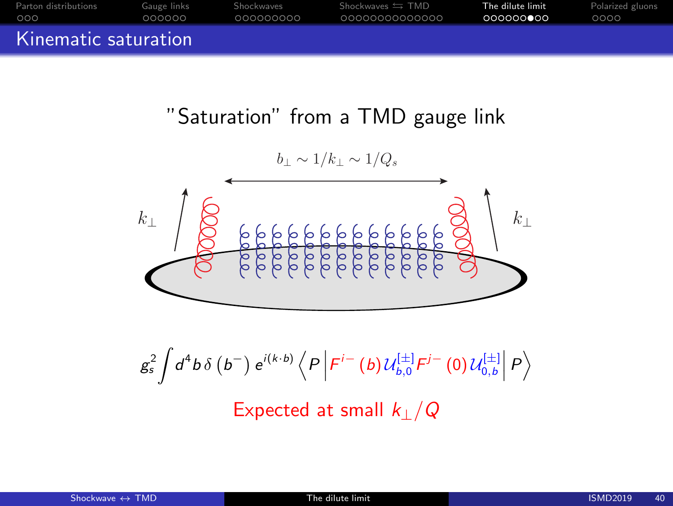| Parton distributions | Gauge links | Shockwaves  | Shockwaves $\leftrightarrows$ TMD | The dilute limit | Polarized gluons |
|----------------------|-------------|-------------|-----------------------------------|------------------|------------------|
| 000                  | 000000      | - 000000000 | 00000000000000                    | 000000000        | 0000             |
| Kinematic saturation |             |             |                                   |                  |                  |

"Saturation" from a TMD gauge link

$$
k_{\perp}
$$

$$
g_s^2 \int d^4b \,\delta\left(b^-\right) e^{i(k \cdot b)} \left\langle P \left| F^{i-}\left(b\right) \mathcal{U}_{b,0}^{[\pm]} F^{j-}\left(0\right) \mathcal{U}_{0,b}^{[\pm]}\right| P \right\rangle
$$
\n
$$
\text{Expected at small } k_\perp/Q
$$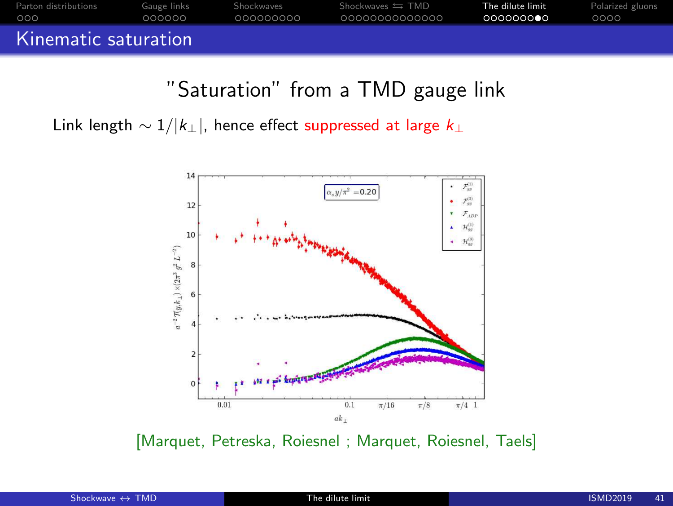![](_page_40_Figure_0.jpeg)

"Saturation" from a TMD gauge link

Link length  $\sim 1/|k_\perp|$ , hence effect suppressed at large  $k_\perp$ 

![](_page_40_Figure_3.jpeg)

[Marquet, Petreska, Roiesnel ; Marquet, Roiesnel, Taels]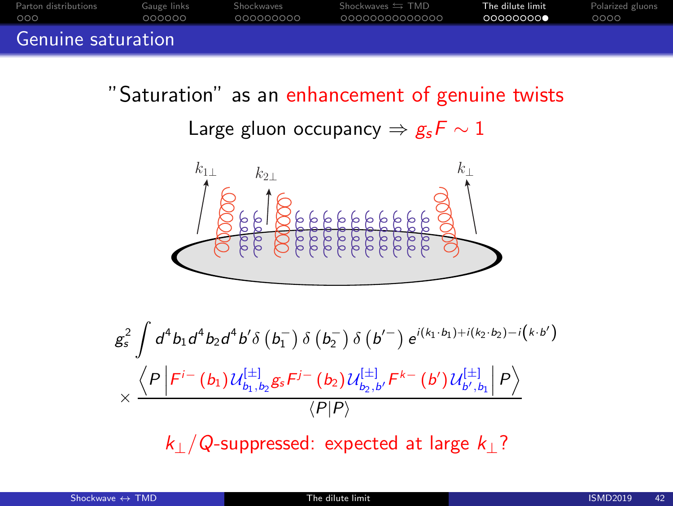![](_page_41_Figure_0.jpeg)

"Saturation" as an enhancement of genuine twists

Large gluon occupancy  $\Rightarrow g_s F \sim 1$ 

![](_page_41_Figure_3.jpeg)

$$
g_s^2 \int d^4 b_1 d^4 b_2 d^4 b' \delta(b_1^-) \delta(b_2^-) \delta(b'^-) e^{i(k_1 \cdot b_1) + i(k_2 \cdot b_2) - i(k \cdot b')}
$$

$$
\times \frac{\left\langle P \left| F^{i-}(b_1) \mathcal{U}_{b_1, b_2}^{[\pm]} g_s F^{j-}(b_2) \mathcal{U}_{b_2, b'}^{[\pm]} F^{k-}(b') \mathcal{U}_{b', b_1}^{[\pm]} \right| P \right\rangle}{\left\langle P \middle| P \right\rangle}
$$

 $k_{\perp}/Q$ -suppressed: expected at large  $k_{\perp}$ ?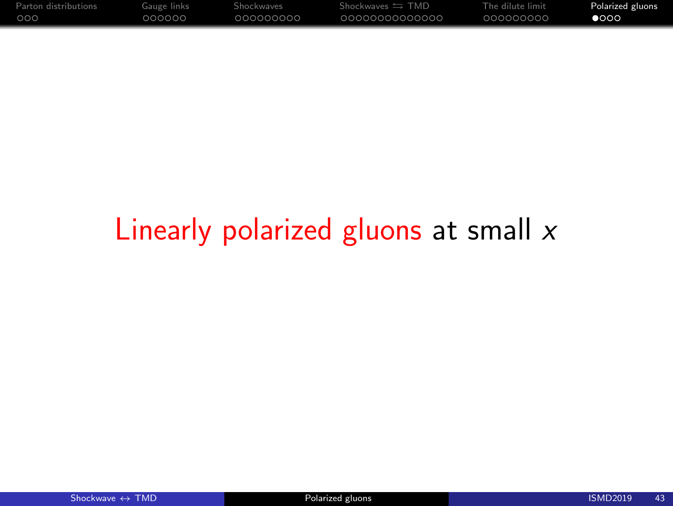<span id="page-42-0"></span>

| Parton distributions | Gauge links | Shockwaves | Shockwaves $\equiv$ TMD | The dilute limit | Polarized gluons |
|----------------------|-------------|------------|-------------------------|------------------|------------------|
| 000                  | റററററ       | .000000000 | 0000000000000           | 000000000        | $\bullet$ 000    |

# Linearly polarized gluons at small  $x$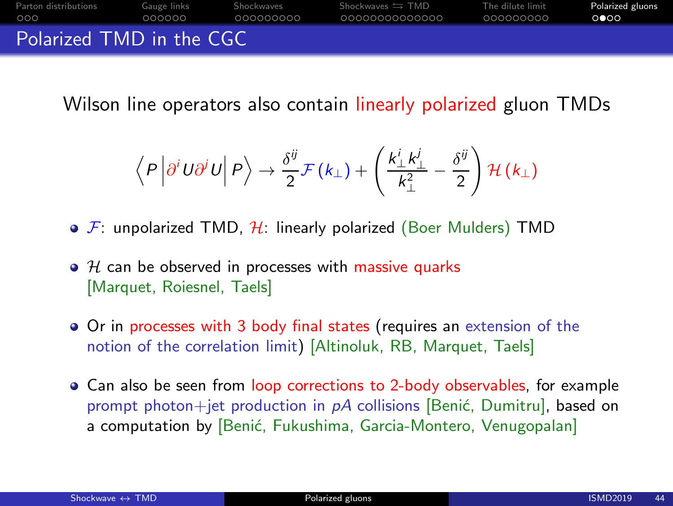![](_page_43_Picture_0.jpeg)

Wilson line operators also contain linearly polarized gluon TMDs

$$
\left\langle P\left|\partial^i U \partial^j U\right| P\right\rangle \to \frac{\delta^{ij}}{2} \mathcal{F}(k_\perp) + \left(\frac{k_\perp^i k_\perp^j}{k_\perp^2} - \frac{\delta^{ij}}{2}\right) \mathcal{H}(k_\perp)
$$

- $\bullet$  F: unpolarized TMD, H: linearly polarized (Boer Mulders) TMD
- $\bullet$  H can be observed in processes with massive quarks [Marquet, Roiesnel, Taels]
- Or in processes with 3 body final states (requires an extension of the notion of the correlation limit) [Altinoluk, RB, Marquet, Taels]
- Can also be seen from loop corrections to 2-body observables, for example prompt photon+jet production in  $pA$  collisions [Benić, Dumitru], based on a computation by [Benić, Fukushima, Garcia-Montero, Venugopalan]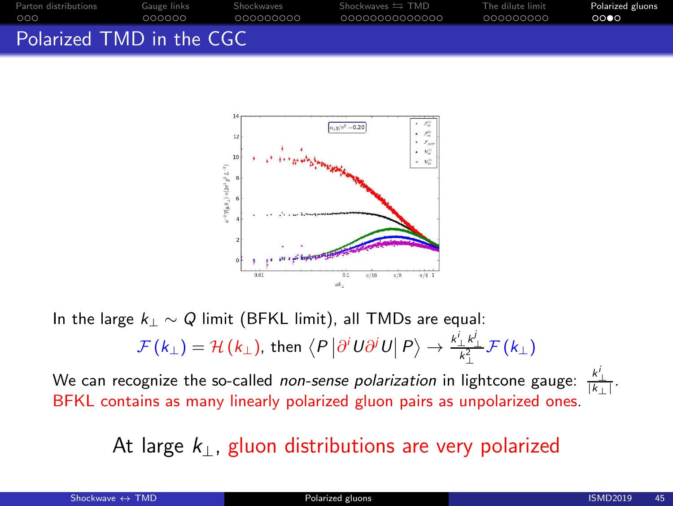![](_page_44_Figure_0.jpeg)

![](_page_44_Figure_1.jpeg)

In the large  $k_1 \sim Q$  limit (BFKL limit), all TMDs are equal:

$$
\mathcal{F}\left(k_{\perp}\right)=\mathcal{H}\left(k_{\perp}\right),\,\text{then}\,\left\langle P\left|\partial^{i}U\partial^{j}U\right|P\right\rangle \rightarrow\frac{k_{\perp}^{i}k_{\perp}^{j}}{k_{\perp}^{2}}\mathcal{F}\left(k_{\perp}\right)
$$

We can recognize the so-called *non-sense polarization* in lightcone gauge:  $\frac{k_\perp^i}{|k_\perp|}.$ BFKL contains as many linearly polarized gluon pairs as unpolarized ones.

At large  $k_{\perp}$ , gluon distributions are very polarized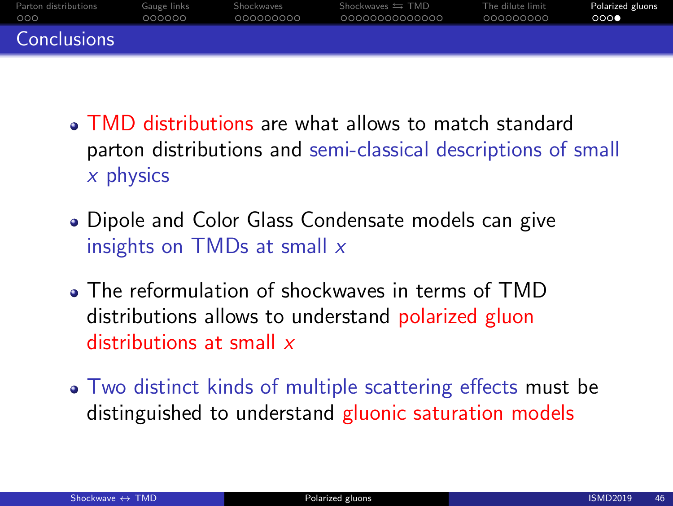| Parton distributions | Gauge links | Shockwaves | Shockwaves $\leftrightarrows$ TMD | The dilute limit | Polarized gluons |
|----------------------|-------------|------------|-----------------------------------|------------------|------------------|
| 000                  | 000000      | 000000000  | 00000000000000                    | 000000000        | 000              |
| Conclusions          |             |            |                                   |                  |                  |

- TMD distributions are what allows to match standard parton distributions and semi-classical descriptions of small  $x$  physics
- Dipole and Color Glass Condensate models can give insights on TMDs at small  $x$
- The reformulation of shockwaves in terms of TMD distributions allows to understand polarized gluon distributions at small x
- Two distinct kinds of multiple scattering effects must be distinguished to understand gluonic saturation models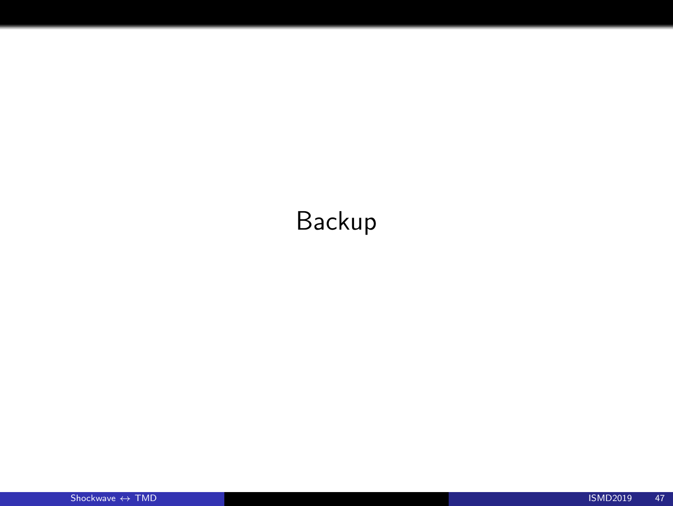# Backup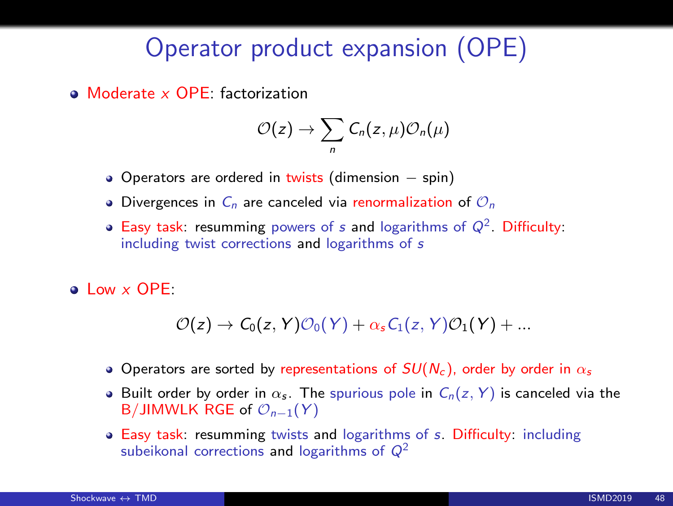## Operator product expansion (OPE)

• Moderate x OPF: factorization

$$
\mathcal{O}(z)\to \sum_n C_n(z,\mu)\mathcal{O}_n(\mu)
$$

- Operators are ordered in twists (dimension spin)
- Divergences in  $C_n$  are canceled via renormalization of  $\mathcal{O}_n$
- Easy task: resumming powers of s and logarithms of  $Q^2$ . Difficulty: including twist corrections and logarithms of s
- a Low x OPF:

$$
\mathcal{O}(z) \rightarrow C_0(z, Y) \mathcal{O}_0(Y) + \alpha_s C_1(z, Y) \mathcal{O}_1(Y) + ...
$$

- Operators are sorted by representations of  $SU(N_c)$ , order by order in  $\alpha_s$
- **Built order by order in**  $\alpha_s$ **.** The spurious pole in  $C_n(z, Y)$  is canceled via the B/JIMWLK RGE of  $\mathcal{O}_{n-1}(Y)$
- Easy task: resumming twists and logarithms of s. Difficulty: including subeikonal corrections and logarithms of  $Q^2$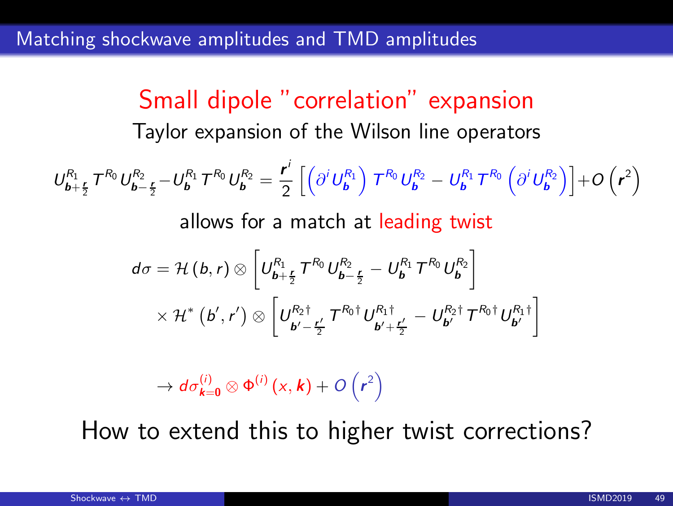Small dipole "correlation" expansion Taylor expansion of the Wilson line operators  $U_{\bm{b}+\frac{\bm{r}}{2}}^{R_1}T^{R_0}U_{\bm{b}-\frac{\bm{r}}{2}}^{R_2}-U_{\bm{b}}^{R_1}T^{R_0}U_{\bm{b}}^{R_2}=$ 2 2 r i 2  $\left[\left(\partial^i U_{\bm b}^{R_1}\right) T^{R_0} U_{\bm b}^{R_2} - U_{\bm b}^{R_1} T^{R_0} \left(\partial^i U_{\bm b}^{R_2}\right)\right] + O\left(r^2\right)$ allows for a match at leading twist  $d\sigma = \mathcal{H}\left( b , r\right) \otimes \left[ U_{\bm{b}+\frac{\bm{r}}{2}}^{R_1} \, T^{R_0} U_{\bm{b}-\frac{\bm{r}}{2}}^{R_2} - U_{\bm{b}}^{R_1} \, T^{R_0} U_{\bm{b}}^{R_2} \right]$  $\times$  H<sup>\*</sup> (b', r')  $\otimes$   $\left|U_{i}^{R_2\dagger}\right|$  $\frac{\partial R_2 \dagger}{\partial b' - \frac{\mathbf{r}'}{2}} \mathcal{T}^{R_0 \dagger} U^{R_1 \dagger}_{\boldsymbol{b}'+\boldsymbol{b}'}$  $\left[ \begin{matrix} b^{\prime\prime}+\frac{\bm r'}{2} & -\bm{\mathit{U}}_{\bm{b}^{\prime}}^{R_{2}\dagger} \bm{\mathit{T}}^{R_{0}\dagger} \bm{\mathit{U}}_{\bm{b}^{\prime}}^{R_{1}\dagger} \end{matrix} \right]$ 

 $\rightarrow d\sigma^{(i)}_{\bm{k}=\bm{0}}\otimes\Phi^{(i)}\left(x,\bm{k}\right)+O\left(r^2\right)$ 

How to extend this to higher twist corrections?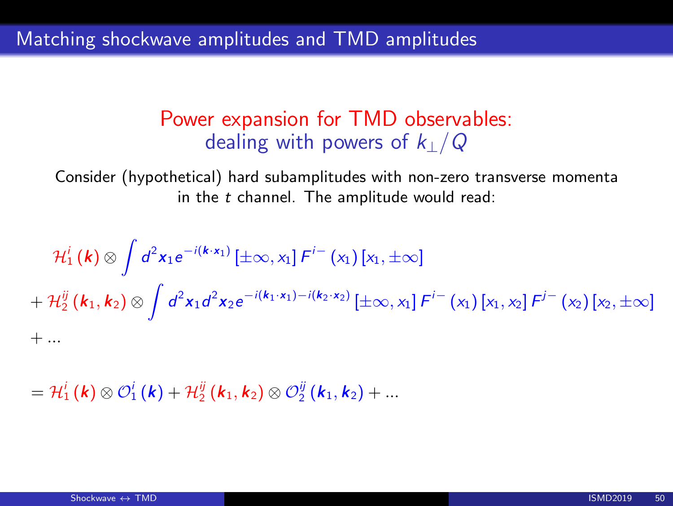#### Power expansion for TMD observables: dealing with powers of  $k_1/Q$

Consider (hypothetical) hard subamplitudes with non-zero transverse momenta in the  $t$  channel. The amplitude would read:

$$
\mathcal{H}_{1}^{i}(\mathbf{k}) \otimes \int d^{2}x_{1}e^{-i(\mathbf{k}\cdot\mathbf{x}_{1})}\left[\pm \infty, x_{1}\right]F^{i-}\left(x_{1}\right)\left[x_{1}, \pm \infty\right] \n+ \mathcal{H}_{2}^{ij}(\mathbf{k}_{1}, \mathbf{k}_{2}) \otimes \int d^{2}x_{1}d^{2}x_{2}e^{-i(\mathbf{k}_{1}\cdot\mathbf{x}_{1})-i(\mathbf{k}_{2}\cdot\mathbf{x}_{2})}\left[\pm \infty, x_{1}\right]F^{i-}\left(x_{1}\right)\left[x_{1}, x_{2}\right]F^{i-}\left(x_{2}\right)\left[x_{2}, \pm \infty\right] \n+ ...
$$

 $={\mathcal{H}}^{i}_{1}\left(\bm{k}\right)\otimes \mathcal{O}^{i}_{1}\left(\bm{k}\right)+{\mathcal{H}}^{ij}_{2}\left(\bm{k}_{1}, \bm{k}_{2}\right)\otimes \mathcal{O}^{ij}_{2}\left(\bm{k}_{1}, \bm{k}_{2}\right)+...$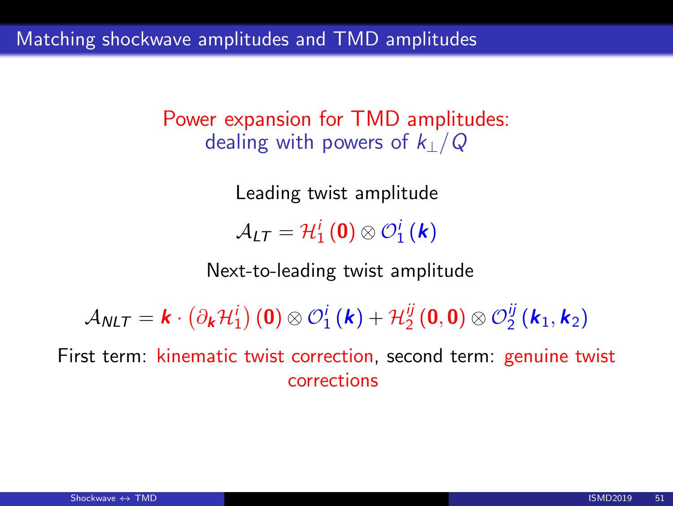Power expansion for TMD amplitudes: dealing with powers of  $k_1/Q$ 

> Leading twist amplitude  $\mathcal{A}_{LT}=\mathcal{H}_{1}^{i}\left(\mathbf{0}\right)\otimes\mathcal{O}_{1}^{i}\left(\boldsymbol{k}\right)$

Next-to-leading twist amplitude

 $\mathcal{A}_{\mathcal{N}LT}=\bm{k}\cdot\left(\partial_{\bm{k}}\mathcal{H}_{1}^{i}\right)(\bm{0})\otimes\mathcal{O}_{1}^{i}\left(\bm{k}\right)+\mathcal{H}_{2}^{ij}$  $\frac{\ddot{y}}{2} \left(\mathbf{0}, \mathbf{0}\right) \otimes \mathcal{O}^{\ddot{y}}_2$  $\frac{jj}{2}$   $(\bm{k}_1,\bm{k}_2)$ 

First term: kinematic twist correction, second term: genuine twist corrections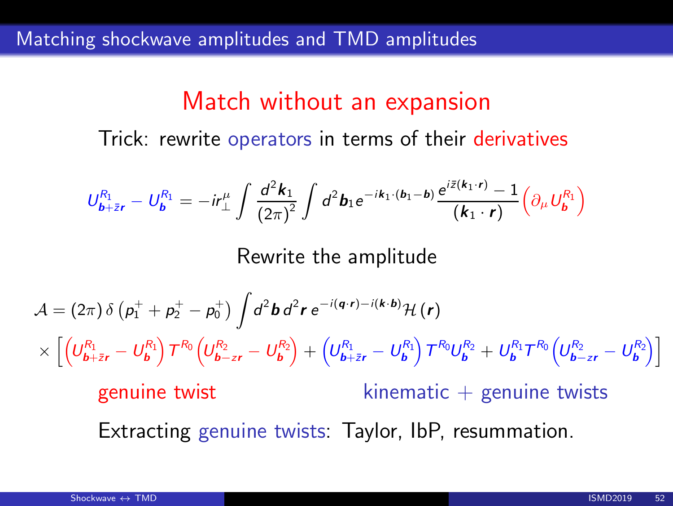### Match without an expansion

Trick: rewrite operators in terms of their derivatives

$$
U_{\mathbf{b}+\bar{z}\mathbf{r}}^{R_1} = U_{\mathbf{b}}^{R_1} = -i r_\perp^{\mu} \int \frac{d^2 \mathbf{k}_1}{(2\pi)^2} \int d^2 \mathbf{b}_1 e^{-i \mathbf{k}_1 \cdot (\mathbf{b}_1 - \mathbf{b})} \frac{e^{i \bar{z}(\mathbf{k}_1 \cdot \mathbf{r})} - 1}{(\mathbf{k}_1 \cdot \mathbf{r})} \left( \partial_{\mu} U_{\mathbf{b}}^{R_1} \right)
$$

Rewrite the amplitude

$$
\mathcal{A} = (2\pi) \delta \left( p_1^+ + p_2^+ - p_0^+ \right) \int d^2 \mathbf{b} d^2 \mathbf{r} e^{-i(\mathbf{q} \cdot \mathbf{r}) - i(\mathbf{k} \cdot \mathbf{b})} \mathcal{H}(\mathbf{r})
$$
\n
$$
\times \left[ \left( U_{\mathbf{b} + \bar{\mathbf{z}}\mathbf{r}}^{\mathbf{R}_1} - U_{\mathbf{b}}^{\mathbf{R}_1} \right) T^{\mathbf{R}_0} \left( U_{\mathbf{b} - \mathbf{z}\mathbf{r}}^{\mathbf{R}_2} - U_{\mathbf{b}}^{\mathbf{R}_2} \right) + \left( U_{\mathbf{b} + \bar{\mathbf{z}}\mathbf{r}}^{\mathbf{R}_1} - U_{\mathbf{b}}^{\mathbf{R}_1} \right) T^{\mathbf{R}_0} U_{\mathbf{b}}^{\mathbf{R}_2} + U_{\mathbf{b}}^{\mathbf{R}_1} T^{\mathbf{R}_0} \left( U_{\mathbf{b} - \mathbf{z}\mathbf{r}}^{\mathbf{R}_2} - U_{\mathbf{b}}^{\mathbf{R}_2} \right) \right]
$$
\ngenuine twist kinematic + genuine twists  
\nExtracting genuine twists: Taylor, lbf, resummation.